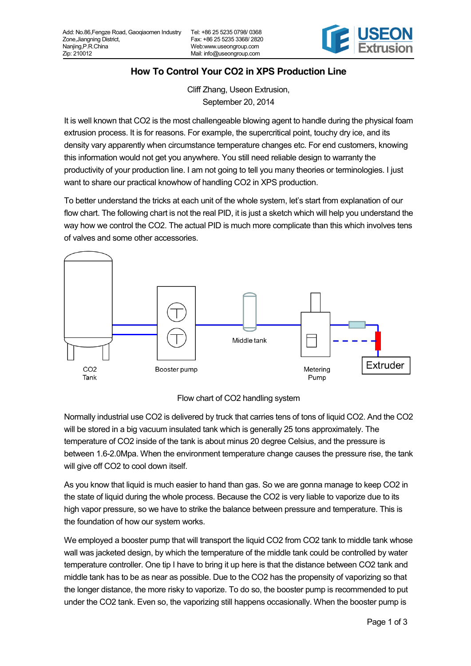

## **How To Control Your CO2 in XPS Production Line**

Cliff Zhang, Useon Extrusion, September 20, 2014

It is well known that CO2 is the most challengeable blowing agent to handle during the physical foam extrusion process. It is for reasons. For example, the supercritical point, touchy dry ice, and its density vary apparently when circumstance temperature changes etc. For end customers, knowing this information would not get you anywhere. You still need reliable design to warranty the productivity of your production line. I am not going to tell you many theories or terminologies. I just want to share our practical knowhow of handling CO2 in XPS production.

To better understand the tricks at each unit of the whole system, let's start from explanation of our flow chart. The following chart is not the real PID, it is just a sketch which will help you understand the way how we control the CO2. The actual PID is much more complicate than this which involves tens of valves and some other accessories.



Flow chart of CO2 handling system

Normally industrial use CO2 is delivered by truck that carries tens of tons of liquid CO2. And the CO2 will be stored in a big vacuum insulated tank which is generally 25 tons approximately. The temperature of CO2 inside of the tank is about minus 20 degree Celsius, and the pressure is between 1.6-2.0Mpa. When the environment temperature change causes the pressure rise, the tank will give off CO2 to cool down itself.

As you know that liquid is much easier to hand than gas. So we are gonna manage to keep CO2 in the state of liquid during the whole process. Because the CO2 is very liable to vaporize due to its high vapor pressure, so we have to strike the balance between pressure and temperature. This is the foundation of how our system works.

We employed a booster pump that will transport the liquid CO2 from CO2 tank to middle tank whose wall was jacketed design, by which the temperature of the middle tank could be controlled by water temperature controller. One tip I have to bring it up here is that the distance between CO2 tank and middle tank has to be as near as possible. Due to the CO2 has the propensity of vaporizing so that the longer distance, the more risky to vaporize. To do so, the booster pump is recommended to put under the CO2 tank. Even so, the vaporizing still happens occasionally. When the booster pump is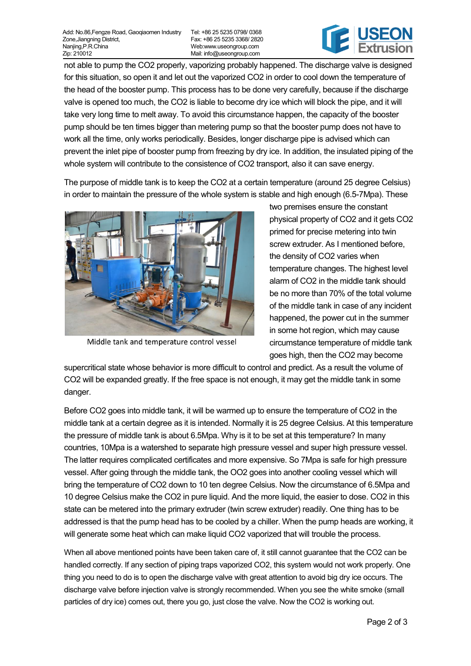Tel: +86 25 5235 0798/ 0368 Fax: +86 25 5235 3368/ 2820 Web:www.useongroup.com Mail: info@useongroup.com



not able to pump the CO2 properly, vaporizing probably happened. The discharge valve is designed for this situation, so open it and let out the vaporized CO2 in order to cool down the temperature of the head of the booster pump. This process has to be done very carefully, because if the discharge valve is opened too much, the CO2 is liable to become dry ice which will block the pipe, and it will take very long time to melt away. To avoid this circumstance happen, the capacity of the booster pump should be ten times bigger than metering pump so that the booster pump does not have to work all the time, only works periodically. Besides, longer discharge pipe is advised which can prevent the inlet pipe of booster pump from freezing by dry ice. In addition, the insulated piping of the whole system will contribute to the consistence of CO2 transport, also it can save energy.

The purpose of middle tank is to keep the CO2 at a certain temperature (around 25 degree Celsius) in order to maintain the pressure of the whole system is stable and high enough (6.5-7Mpa). These



Middle tank and temperature control vessel

two premises ensure the constant physical property of CO2 and it gets CO2 primed for precise metering into twin screw extruder. As I mentioned before, the density of CO2 varies when temperature changes. The highest level alarm of CO2 in the middle tank should be no more than 70% of the total volume of the middle tank in case of any incident happened, the power cut in the summer in some hot region, which may cause circumstance temperature of middle tank goes high, then the CO2 may become

supercritical state whose behavior is more difficult to control and predict. As a result the volume of CO2 will be expanded greatly. If the free space is not enough, it may get the middle tank in some danger.

Before CO2 goes into middle tank, it will be warmed up to ensure the temperature of CO2 in the middle tank at a certain degree as it is intended. Normally it is 25 degree Celsius. At this temperature the pressure of middle tank is about 6.5Mpa. Why is it to be set at this temperature? In many countries, 10Mpa is a watershed to separate high pressure vessel and super high pressure vessel. The latter requires complicated certificates and more expensive. So 7Mpa is safe for high pressure vessel. After going through the middle tank, the OO2 goes into another cooling vessel which will bring the temperature of CO2 down to 10 ten degree Celsius. Now the circumstance of 6.5Mpa and 10 degree Celsius make the CO2 in pure liquid. And the more liquid, the easier to dose. CO2 in this state can be metered into the primary extruder (twin screw extruder) readily. One thing has to be addressed is that the pump head has to be cooled by a chiller. When the pump heads are working, it will generate some heat which can make liquid CO2 vaporized that will trouble the process.

When all above mentioned points have been taken care of, it still cannot guarantee that the CO2 can be handled correctly. If any section of piping traps vaporized CO2, this system would not work properly. One thing you need to do is to open the discharge valve with great attention to avoid big dry ice occurs. The discharge valve before injection valve is strongly recommended. When you see the white smoke (small particles of dry ice) comes out, there you go, just close the valve. Now the CO2 is working out.